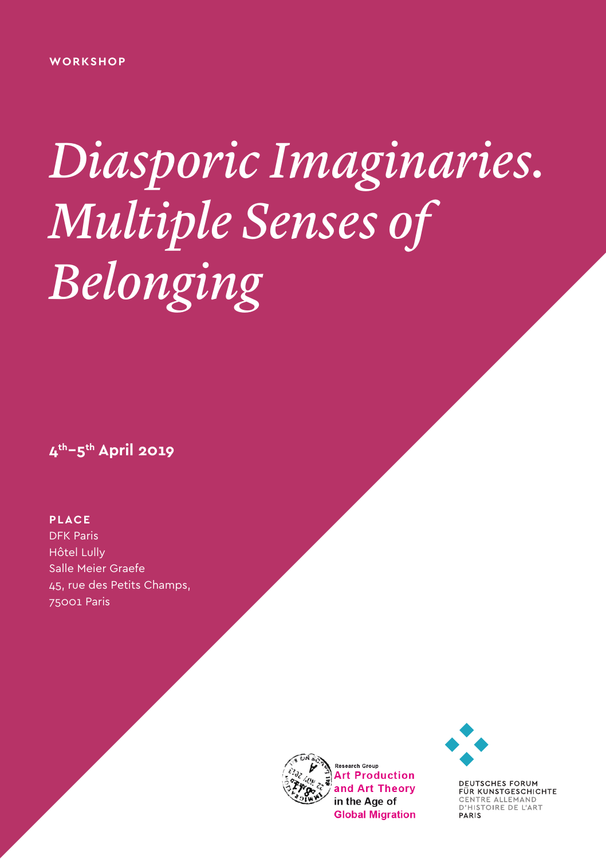# *Diasporic Imaginaries. Multiple Senses of Belonging*

**4th–5th April 2019**

#### **PLACE**

DFK Paris Hôtel Lully Salle Meier Graefe 45, rue des Petits Champs, 75001 Paris





DEUTSCHES FORUM<br>FÜR KUNSTGESCHICHTE CENTRE ALLEMAND<br>D'HISTOIRE DE L'ART PARIS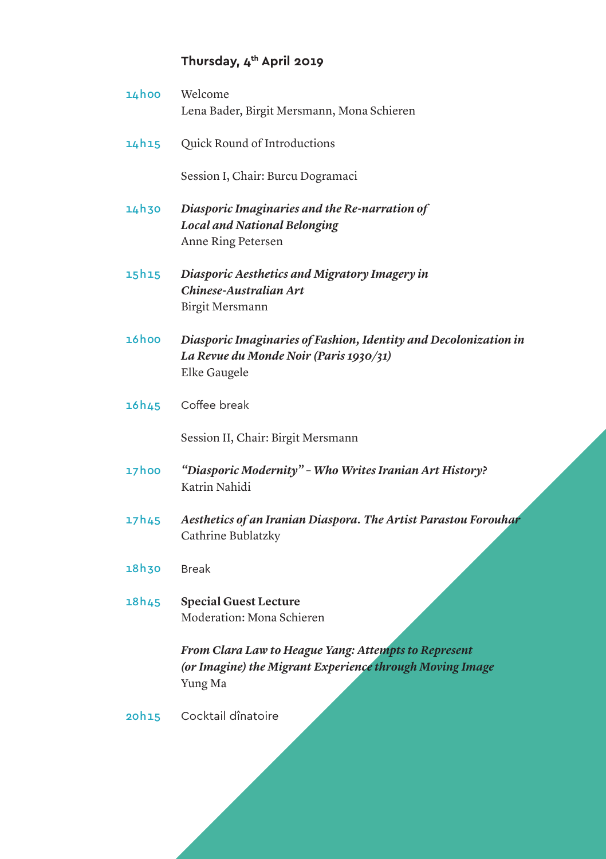## **Thursday, 4th April 2019**

| 14hoo | Welcome<br>Lena Bader, Birgit Mersmann, Mona Schieren                                                                       |
|-------|-----------------------------------------------------------------------------------------------------------------------------|
| 14h15 | Quick Round of Introductions                                                                                                |
|       | Session I, Chair: Burcu Dogramaci                                                                                           |
| 14h30 | Diasporic Imaginaries and the Re-narration of<br><b>Local and National Belonging</b><br>Anne Ring Petersen                  |
| 15h15 | Diasporic Aesthetics and Migratory Imagery in<br>Chinese-Australian Art<br>Birgit Mersmann                                  |
| 16hoo | Diasporic Imaginaries of Fashion, Identity and Decolonization in<br>La Revue du Monde Noir (Paris 1930/31)<br>Elke Gaugele  |
| 16h45 | Coffee break                                                                                                                |
|       | Session II, Chair: Birgit Mersmann                                                                                          |
| 17hoo | "Diasporic Modernity" - Who Writes Iranian Art History?<br>Katrin Nahidi                                                    |
| 17h45 | Aesthetics of an Iranian Diaspora. The Artist Parastou Forouhar<br>Cathrine Bublatzky                                       |
| 18h30 | <b>Break</b>                                                                                                                |
| 18h45 | <b>Special Guest Lecture</b><br>Moderation: Mona Schieren                                                                   |
|       | From Clara Law to Heague Yang: Attempts to Represent<br>(or Imagine) the Migrant Experience through Moving Image<br>Yung Ma |
| 20h15 | Cocktail dînatoire                                                                                                          |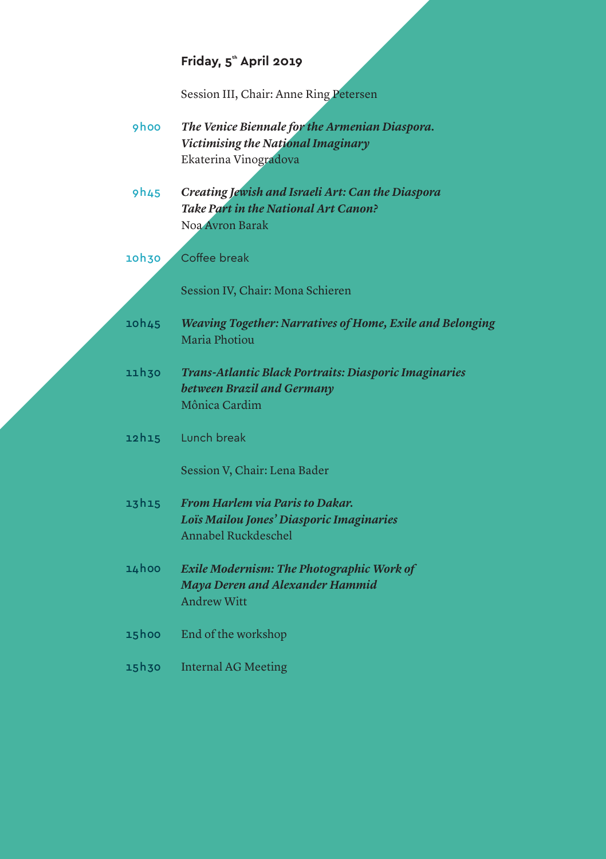## **Friday, 5<sup>th</sup> April 2019**

Session III, Chair: Anne Ring Petersen

- *The Venice Biennale for the Armenian Diaspora. Victimising the National Imaginary* Ekaterina Vinogradova 9h00
- *Creating Jewish and Israeli Art: Can the Diaspora Take Part in the National Art Canon?* Noa Avron Barak 9h45
- Coffee break 10h30

Session IV, Chair: Mona Schieren

- *Weaving Together: Narratives of Home, Exile and Belonging* Maria Photiou 10h45
- *Trans-Atlantic Black Portraits: Diasporic Imaginaries between Brazil and Germany* Mônica Cardim 11h30
- Lunch break 12h15

Session V, Chair: Lena Bader

- *From Harlem via Paris to Dakar. Loïs Mailou Jones' Diasporic Imaginaries* Annabel Ruckdeschel 13h15
- *Exile Modernism: The Photographic Work of Maya Deren and Alexander Hammid* Andrew Witt 14h00
- End of the workshop 15h00
- Internal AG Meeting 15h30